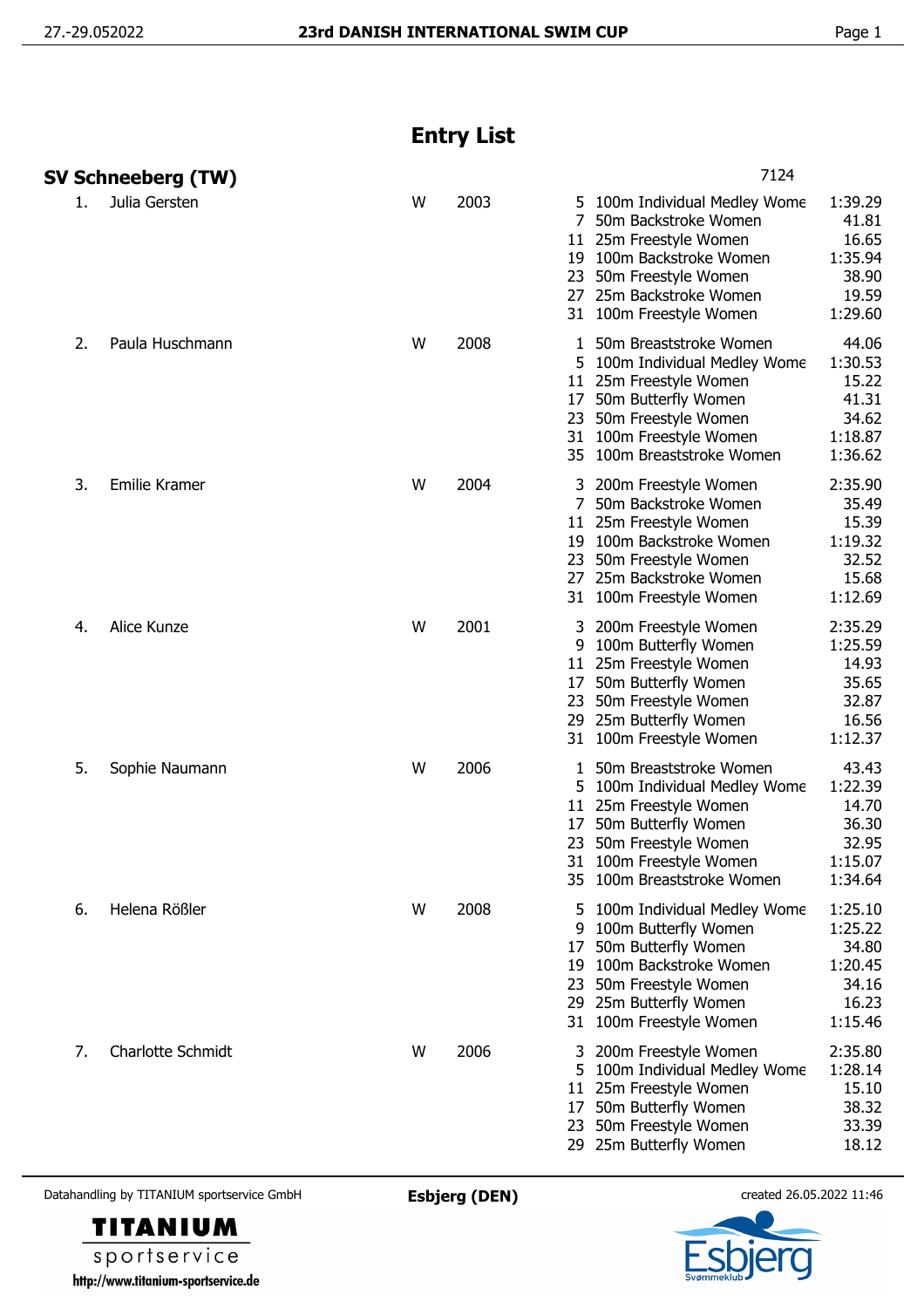## **Entry List**

|    | SV Schneeberg (TW)   |                   |   |      |                                | 7124                                                                                                                                                                                        |                                                                     |  |
|----|----------------------|-------------------|---|------|--------------------------------|---------------------------------------------------------------------------------------------------------------------------------------------------------------------------------------------|---------------------------------------------------------------------|--|
| 1. | Julia Gersten        |                   | W | 2003 | 27                             | 5 100m Individual Medley Wome<br>50m Backstroke Women<br>11 25m Freestyle Women<br>19 100m Backstroke Women<br>23 50m Freestyle Women<br>25m Backstroke Women<br>31 100m Freestyle Women    | 1:39.29<br>41.81<br>16.65<br>1:35.94<br>38.90<br>19.59<br>1:29.60   |  |
| 2. |                      | Paula Huschmann   | W | 2008 | 1<br>17                        | 50m Breaststroke Women<br>5 100m Individual Medley Wome<br>11 25m Freestyle Women<br>50m Butterfly Women<br>23 50m Freestyle Women<br>31 100m Freestyle Women<br>35 100m Breaststroke Women | 44.06<br>1:30.53<br>15.22<br>41.31<br>34.62<br>1:18.87<br>1:36.62   |  |
| 3. | <b>Emilie Kramer</b> |                   | W | 2004 | 7                              | 200m Freestyle Women<br>50m Backstroke Women<br>11 25m Freestyle Women<br>19 100m Backstroke Women<br>23 50m Freestyle Women<br>27 25m Backstroke Women<br>31 100m Freestyle Women          | 2:35.90<br>35.49<br>15.39<br>1:19.32<br>32.52<br>15.68<br>1:12.69   |  |
| 4. | Alice Kunze          |                   | W | 2001 | 3<br>9<br>11<br>17<br>23<br>29 | 200m Freestyle Women<br>100m Butterfly Women<br>25m Freestyle Women<br>50m Butterfly Women<br>50m Freestyle Women<br>25m Butterfly Women<br>31 100m Freestyle Women                         | 2:35.29<br>1:25.59<br>14.93<br>35.65<br>32.87<br>16.56<br>1:12.37   |  |
| 5. |                      | Sophie Naumann    | W | 2006 | 1<br>17<br>23<br>31            | 50m Breaststroke Women<br>100m Individual Medley Wome<br>11 25m Freestyle Women<br>50m Butterfly Women<br>50m Freestyle Women<br>100m Freestyle Women<br>35 100m Breaststroke Women         | 43.43<br>1:22.39<br>14.70<br>36.30<br>32.95<br>1:15.07<br>1:34.64   |  |
| 6. | Helena Rößler        |                   | W | 2008 | 5.<br>9<br>17<br>23            | 100m Individual Medley Wome<br>100m Butterfly Women<br>50m Butterfly Women<br>19 100m Backstroke Women<br>50m Freestyle Women<br>29 25m Butterfly Women<br>31 100m Freestyle Women          | 1:25.10<br>1:25.22<br>34.80<br>1:20.45<br>34.16<br>16.23<br>1:15.46 |  |
| 7. |                      | Charlotte Schmidt | W | 2006 |                                | 200m Freestyle Women<br>5 100m Individual Medley Wome<br>11 25m Freestyle Women<br>17 50m Butterfly Women<br>23 50m Freestyle Women<br>29 25m Butterfly Women                               | 2:35.80<br>1:28.14<br>15.10<br>38.32<br>33.39<br>18.12              |  |

Datahandling by TITANIUM sportservice GmbH **Esbjerg (DEN)** created 26.05.2022 11:46





sportservice http://www.titanium-sportservice.de

**TITANIUM**